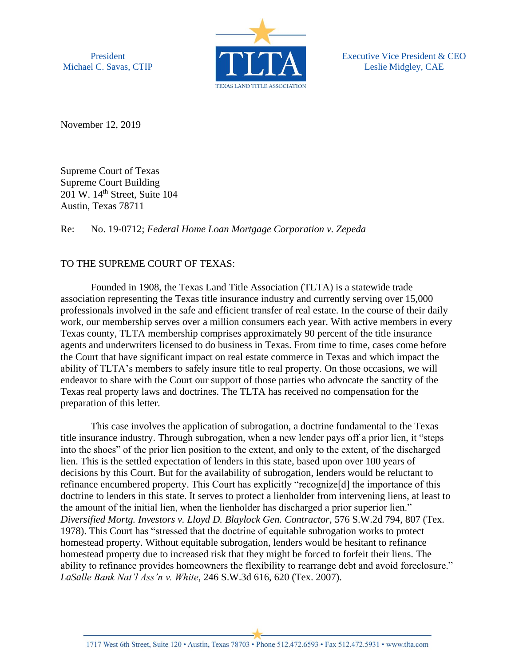President Michael C. Savas, CTIP



Executive Vice President & CEO Leslie Midgley, CAE

November 12, 2019

Supreme Court of Texas Supreme Court Building 201 W. 14<sup>th</sup> Street, Suite 104 Austin, Texas 78711

Re: No. 19-0712; *Federal Home Loan Mortgage Corporation v. Zepeda*

## TO THE SUPREME COURT OF TEXAS:

Founded in 1908, the Texas Land Title Association (TLTA) is a statewide trade association representing the Texas title insurance industry and currently serving over 15,000 professionals involved in the safe and efficient transfer of real estate. In the course of their daily work, our membership serves over a million consumers each year. With active members in every Texas county, TLTA membership comprises approximately 90 percent of the title insurance agents and underwriters licensed to do business in Texas. From time to time, cases come before the Court that have significant impact on real estate commerce in Texas and which impact the ability of TLTA's members to safely insure title to real property. On those occasions, we will endeavor to share with the Court our support of those parties who advocate the sanctity of the Texas real property laws and doctrines. The TLTA has received no compensation for the preparation of this letter.

This case involves the application of subrogation, a doctrine fundamental to the Texas title insurance industry. Through subrogation, when a new lender pays off a prior lien, it "steps into the shoes" of the prior lien position to the extent, and only to the extent, of the discharged lien. This is the settled expectation of lenders in this state, based upon over 100 years of decisions by this Court. But for the availability of subrogation, lenders would be reluctant to refinance encumbered property. This Court has explicitly "recognize[d] the importance of this doctrine to lenders in this state. It serves to protect a lienholder from intervening liens, at least to the amount of the initial lien, when the lienholder has discharged a prior superior lien." *Diversified Mortg. Investors v. Lloyd D. Blaylock Gen. Contractor,* 576 S.W.2d 794, 807 (Tex. 1978). This Court has "stressed that the doctrine of equitable subrogation works to protect homestead property. Without equitable subrogation, lenders would be hesitant to refinance homestead property due to increased risk that they might be forced to forfeit their liens. The ability to refinance provides homeowners the flexibility to rearrange debt and avoid foreclosure." *LaSalle Bank Nat'l Ass'n v. White*, 246 S.W.3d 616, 620 (Tex. 2007).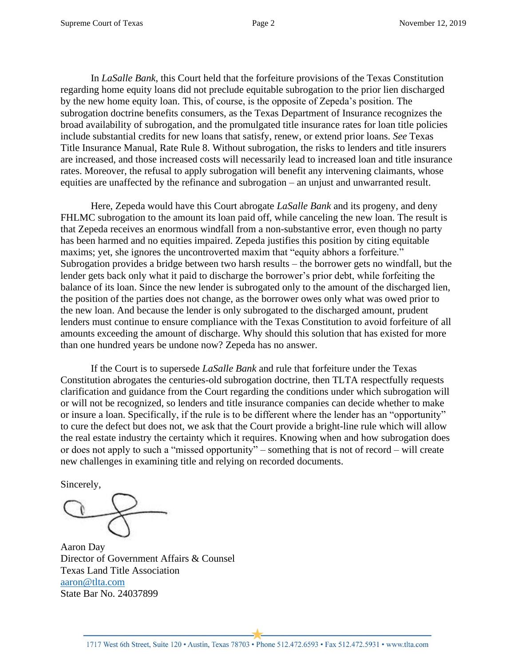In *LaSalle Bank*, this Court held that the forfeiture provisions of the Texas Constitution regarding home equity loans did not preclude equitable subrogation to the prior lien discharged by the new home equity loan. This, of course, is the opposite of Zepeda's position. The subrogation doctrine benefits consumers, as the Texas Department of Insurance recognizes the broad availability of subrogation, and the promulgated title insurance rates for loan title policies include substantial credits for new loans that satisfy, renew, or extend prior loans. *See* Texas Title Insurance Manual, Rate Rule 8. Without subrogation, the risks to lenders and title insurers are increased, and those increased costs will necessarily lead to increased loan and title insurance rates. Moreover, the refusal to apply subrogation will benefit any intervening claimants, whose equities are unaffected by the refinance and subrogation – an unjust and unwarranted result.

Here, Zepeda would have this Court abrogate *LaSalle Bank* and its progeny, and deny FHLMC subrogation to the amount its loan paid off, while canceling the new loan. The result is that Zepeda receives an enormous windfall from a non-substantive error, even though no party has been harmed and no equities impaired. Zepeda justifies this position by citing equitable maxims; yet, she ignores the uncontroverted maxim that "equity abhors a forfeiture." Subrogation provides a bridge between two harsh results – the borrower gets no windfall, but the lender gets back only what it paid to discharge the borrower's prior debt, while forfeiting the balance of its loan. Since the new lender is subrogated only to the amount of the discharged lien, the position of the parties does not change, as the borrower owes only what was owed prior to the new loan. And because the lender is only subrogated to the discharged amount, prudent lenders must continue to ensure compliance with the Texas Constitution to avoid forfeiture of all amounts exceeding the amount of discharge. Why should this solution that has existed for more than one hundred years be undone now? Zepeda has no answer.

If the Court is to supersede *LaSalle Bank* and rule that forfeiture under the Texas Constitution abrogates the centuries-old subrogation doctrine, then TLTA respectfully requests clarification and guidance from the Court regarding the conditions under which subrogation will or will not be recognized, so lenders and title insurance companies can decide whether to make or insure a loan. Specifically, if the rule is to be different where the lender has an "opportunity" to cure the defect but does not, we ask that the Court provide a bright-line rule which will allow the real estate industry the certainty which it requires. Knowing when and how subrogation does or does not apply to such a "missed opportunity" – something that is not of record – will create new challenges in examining title and relying on recorded documents.

Sincerely,

Aaron Day Director of Government Affairs & Counsel Texas Land Title Association [aaron@tlta.com](mailto:aaron@tlta.com) State Bar No. 24037899

1717 West 6th Street, Suite 120 · Austin, Texas 78703 · Phone 512.472.6593 · Fax 512.472.5931 · www.tlta.com